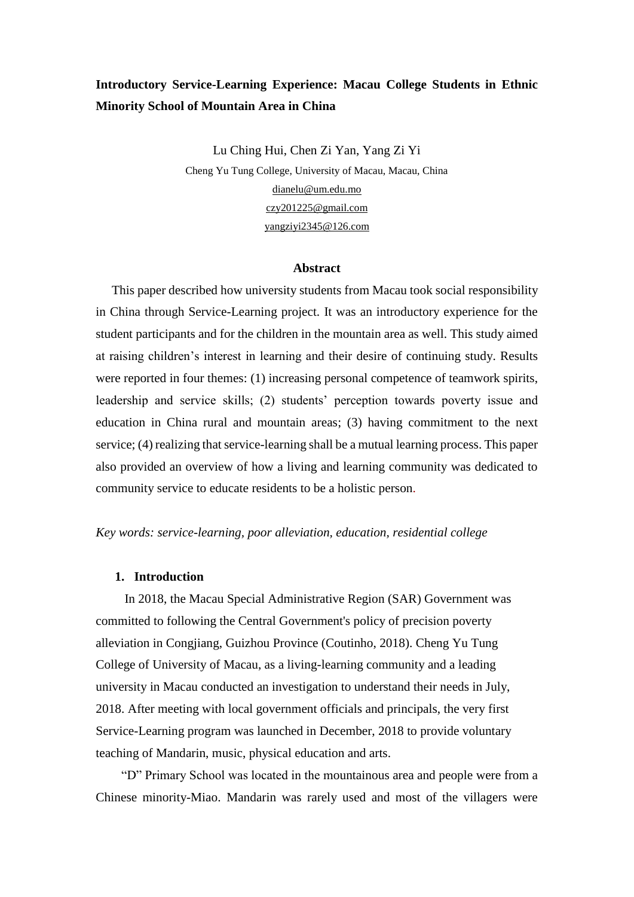# **Introductory Service-Learning Experience: Macau College Students in Ethnic Minority School of Mountain Area in China**

Lu Ching Hui, Chen Zi Yan, Yang Zi Yi Cheng Yu Tung College, University of Macau, Macau, China [dianelu@um.edu.mo](mailto:dianelu@um.edu.mo) [czy201225@gmail.com](mailto:czy201225@gmail.com) [yangziyi2345@126.com](mailto:yangziyi2345@126.com)

#### **Abstract**

 This paper described how university students from Macau took social responsibility in China through Service-Learning project. It was an introductory experience for the student participants and for the children in the mountain area as well. This study aimed at raising children's interest in learning and their desire of continuing study. Results were reported in four themes: (1) increasing personal competence of teamwork spirits, leadership and service skills; (2) students' perception towards poverty issue and education in China rural and mountain areas; (3) having commitment to the next service; (4) realizing that service-learning shall be a mutual learning process. This paper also provided an overview of how a living and learning community was dedicated to community service to educate residents to be a holistic person.

### *Key words: service-learning, poor alleviation, education, residential college*

## **1. Introduction**

In 2018, the Macau Special Administrative Region (SAR) Government was committed to following the Central Government's policy of precision poverty alleviation in Congjiang, Guizhou Province (Coutinho, 2018). Cheng Yu Tung College of University of Macau, as a living-learning community and a leading university in Macau conducted an investigation to understand their needs in July, 2018. After meeting with local government officials and principals, the very first Service-Learning program was launched in December, 2018 to provide voluntary teaching of Mandarin, music, physical education and arts.

 "D" Primary School was located in the mountainous area and people were from a Chinese minority-Miao. Mandarin was rarely used and most of the villagers were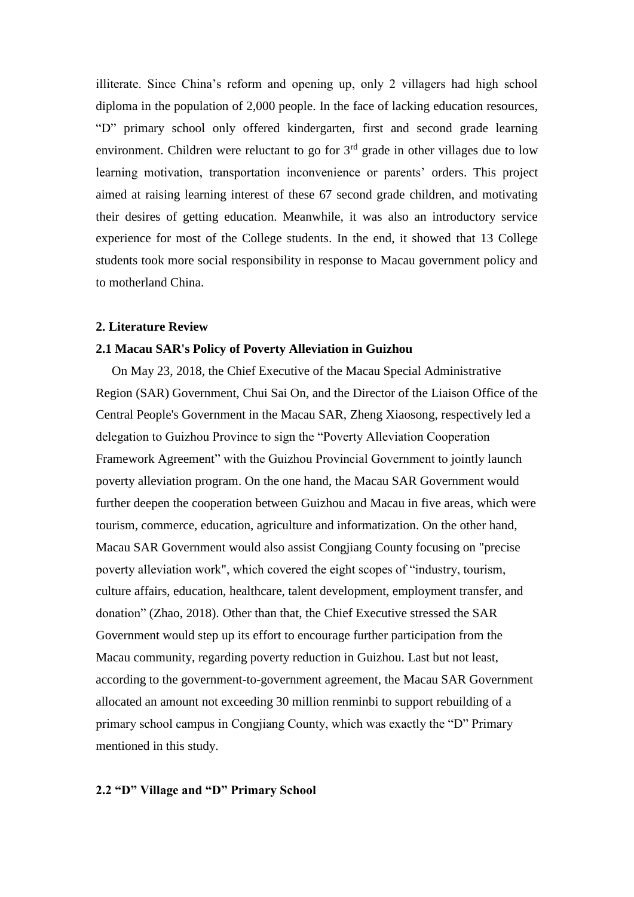illiterate. Since China's reform and opening up, only 2 villagers had high school diploma in the population of 2,000 people. In the face of lacking education resources, "D" primary school only offered kindergarten, first and second grade learning environment. Children were reluctant to go for  $3<sup>rd</sup>$  grade in other villages due to low learning motivation, transportation inconvenience or parents' orders. This project aimed at raising learning interest of these 67 second grade children, and motivating their desires of getting education. Meanwhile, it was also an introductory service experience for most of the College students. In the end, it showed that 13 College students took more social responsibility in response to Macau government policy and to motherland China.

#### **2. Literature Review**

#### **2.1 Macau SAR's Policy of Poverty Alleviation in Guizhou**

 On May 23, 2018, the Chief Executive of the Macau Special Administrative Region (SAR) Government, Chui Sai On, and the Director of the Liaison Office of the Central People's Government in the Macau SAR, Zheng Xiaosong, respectively led a delegation to Guizhou Province to sign the "Poverty Alleviation Cooperation Framework Agreement" with the Guizhou Provincial Government to jointly launch poverty alleviation program. On the one hand, the Macau SAR Government would further deepen the cooperation between Guizhou and Macau in five areas, which were tourism, commerce, education, agriculture and informatization. On the other hand, Macau SAR Government would also assist Congjiang County focusing on "precise poverty alleviation work", which covered the eight scopes of "industry, tourism, culture affairs, education, healthcare, talent development, employment transfer, and donation" (Zhao, 2018). Other than that, the Chief Executive stressed the SAR Government would step up its effort to encourage further participation from the Macau community, regarding poverty reduction in Guizhou. Last but not least, according to the government-to-government agreement, the Macau SAR Government allocated an amount not exceeding 30 million renminbi to support rebuilding of a primary school campus in Congjiang County, which was exactly the "D" Primary mentioned in this study.

## **2.2 "D" Village and "D" Primary School**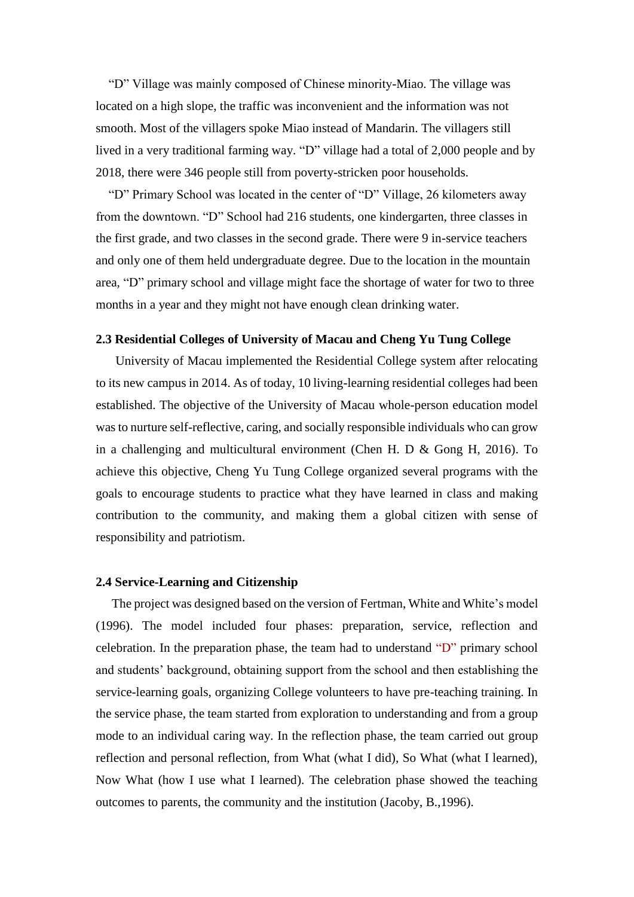"D" Village was mainly composed of Chinese minority-Miao. The village was located on a high slope, the traffic was inconvenient and the information was not smooth. Most of the villagers spoke Miao instead of Mandarin. The villagers still lived in a very traditional farming way. "D" village had a total of 2,000 people and by 2018, there were 346 people still from poverty-stricken poor households.

 "D" Primary School was located in the center of "D" Village, 26 kilometers away from the downtown. "D" School had 216 students, one kindergarten, three classes in the first grade, and two classes in the second grade. There were 9 in-service teachers and only one of them held undergraduate degree. Due to the location in the mountain area, "D" primary school and village might face the shortage of water for two to three months in a year and they might not have enough clean drinking water.

### **2.3 Residential Colleges of University of Macau and Cheng Yu Tung College**

 University of Macau implemented the Residential College system after relocating to its new campus in 2014. As of today, 10 living-learning residential colleges had been established. The objective of the University of Macau whole-person education model was to nurture self-reflective, caring, and socially responsible individuals who can grow in a challenging and multicultural environment (Chen H. D & Gong H, 2016). To achieve this objective, Cheng Yu Tung College organized several programs with the goals to encourage students to practice what they have learned in class and making contribution to the community, and making them a global citizen with sense of responsibility and patriotism.

#### **2.4 Service-Learning and Citizenship**

 The project was designed based on the version of Fertman, White and White's model (1996). The model included four phases: preparation, service, reflection and celebration. In the preparation phase, the team had to understand "D" primary school and students' background, obtaining support from the school and then establishing the service-learning goals, organizing College volunteers to have pre-teaching training. In the service phase, the team started from exploration to understanding and from a group mode to an individual caring way. In the reflection phase, the team carried out group reflection and personal reflection, from What (what I did), So What (what I learned), Now What (how I use what I learned). The celebration phase showed the teaching outcomes to parents, the community and the institution (Jacoby, B.,1996).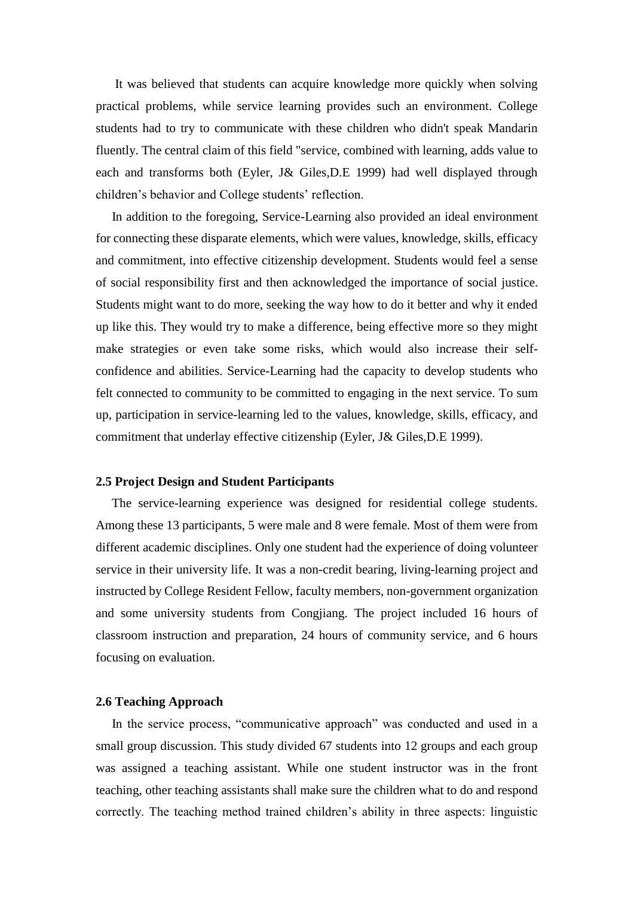It was believed that students can acquire knowledge more quickly when solving practical problems, while service learning provides such an environment. College students had to try to communicate with these children who didn't speak Mandarin fluently. The central claim of this field "service, combined with learning, adds value to each and transforms both (Eyler, J& Giles,D.E 1999) had well displayed through children's behavior and College students' reflection.

 In addition to the foregoing, Service-Learning also provided an ideal environment for connecting these disparate elements, which were values, knowledge, skills, efficacy and commitment, into effective citizenship development. Students would feel a sense of social responsibility first and then acknowledged the importance of social justice. Students might want to do more, seeking the way how to do it better and why it ended up like this. They would try to make a difference, being effective more so they might make strategies or even take some risks, which would also increase their selfconfidence and abilities. Service-Learning had the capacity to develop students who felt connected to community to be committed to engaging in the next service. To sum up, participation in service-learning led to the values, knowledge, skills, efficacy, and commitment that underlay effective citizenship (Eyler, J& Giles,D.E 1999).

#### **2.5 Project Design and Student Participants**

 The service-learning experience was designed for residential college students. Among these 13 participants, 5 were male and 8 were female. Most of them were from different academic disciplines. Only one student had the experience of doing volunteer service in their university life. It was a non-credit bearing, living-learning project and instructed by College Resident Fellow, faculty members, non-government organization and some university students from Congjiang. The project included 16 hours of classroom instruction and preparation, 24 hours of community service, and 6 hours focusing on evaluation.

#### **2.6 Teaching Approach**

 In the service process, "communicative approach" was conducted and used in a small group discussion. This study divided 67 students into 12 groups and each group was assigned a teaching assistant. While one student instructor was in the front teaching, other teaching assistants shall make sure the children what to do and respond correctly. The teaching method trained children's ability in three aspects: linguistic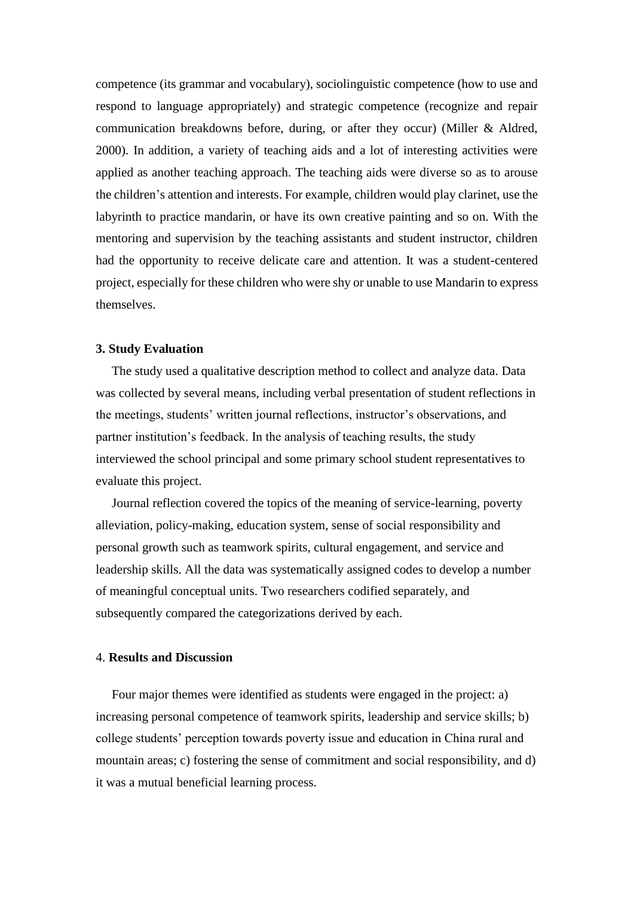competence (its grammar and vocabulary), sociolinguistic competence (how to use and respond to language appropriately) and strategic competence (recognize and repair communication breakdowns before, during, or after they occur) (Miller & Aldred, 2000). In addition, a variety of teaching aids and a lot of interesting activities were applied as another teaching approach. The teaching aids were diverse so as to arouse the children's attention and interests. For example, children would play clarinet, use the labyrinth to practice mandarin, or have its own creative painting and so on. With the mentoring and supervision by the teaching assistants and student instructor, children had the opportunity to receive delicate care and attention. It was a student-centered project, especially for these children who were shy or unable to use Mandarin to express themselves.

#### **3. Study Evaluation**

 The study used a qualitative description method to collect and analyze data. Data was collected by several means, including verbal presentation of student reflections in the meetings, students' written journal reflections, instructor's observations, and partner institution's feedback. In the analysis of teaching results, the study interviewed the school principal and some primary school student representatives to evaluate this project.

 Journal reflection covered the topics of the meaning of service-learning, poverty alleviation, policy-making, education system, sense of social responsibility and personal growth such as teamwork spirits, cultural engagement, and service and leadership skills. All the data was systematically assigned codes to develop a number of meaningful conceptual units. Two researchers codified separately, and subsequently compared the categorizations derived by each.

#### 4. **Results and Discussion**

 Four major themes were identified as students were engaged in the project: a) increasing personal competence of teamwork spirits, leadership and service skills; b) college students' perception towards poverty issue and education in China rural and mountain areas; c) fostering the sense of commitment and social responsibility, and d) it was a mutual beneficial learning process.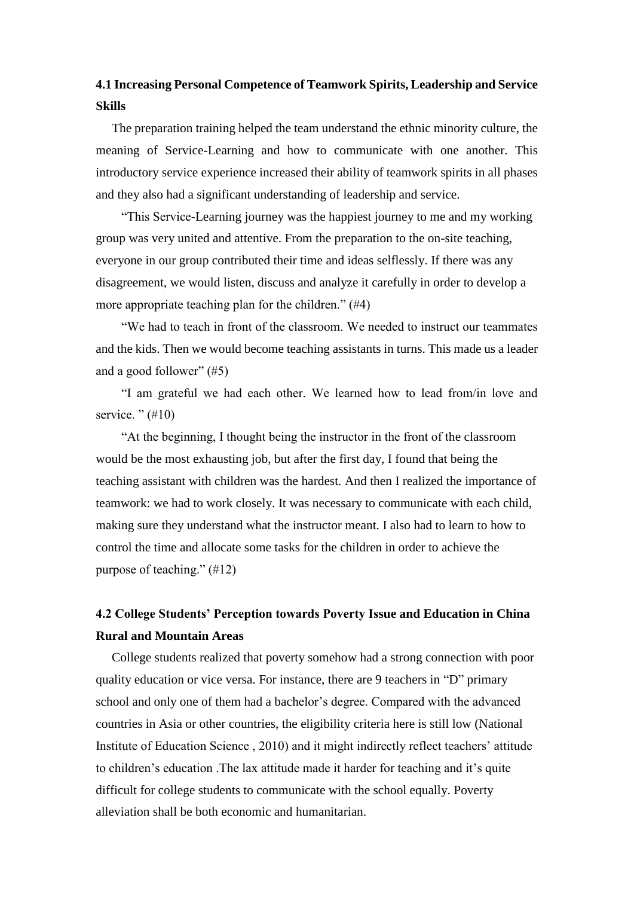# **4.1 Increasing Personal Competence of Teamwork Spirits, Leadership and Service Skills**

 The preparation training helped the team understand the ethnic minority culture, the meaning of Service-Learning and how to communicate with one another. This introductory service experience increased their ability of teamwork spirits in all phases and they also had a significant understanding of leadership and service.

"This Service-Learning journey was the happiest journey to me and my working group was very united and attentive. From the preparation to the on-site teaching, everyone in our group contributed their time and ideas selflessly. If there was any disagreement, we would listen, discuss and analyze it carefully in order to develop a more appropriate teaching plan for the children." (#4)

"We had to teach in front of the classroom. We needed to instruct our teammates and the kids. Then we would become teaching assistants in turns. This made us a leader and a good follower" (#5)

"I am grateful we had each other. We learned how to lead from/in love and service. " $(\#10)$ 

"At the beginning, I thought being the instructor in the front of the classroom would be the most exhausting job, but after the first day, I found that being the teaching assistant with children was the hardest. And then I realized the importance of teamwork: we had to work closely. It was necessary to communicate with each child, making sure they understand what the instructor meant. I also had to learn to how to control the time and allocate some tasks for the children in order to achieve the purpose of teaching." (#12)

# **4.2 College Students' Perception towards Poverty Issue and Education in China Rural and Mountain Areas**

 College students realized that poverty somehow had a strong connection with poor quality education or vice versa. For instance, there are 9 teachers in "D" primary school and only one of them had a bachelor's degree. Compared with the advanced countries in Asia or other countries, the eligibility criteria here is still low (National Institute of Education Science , 2010) and it might indirectly reflect teachers' attitude to children's education .The lax attitude made it harder for teaching and it's quite difficult for college students to communicate with the school equally. Poverty alleviation shall be both economic and humanitarian.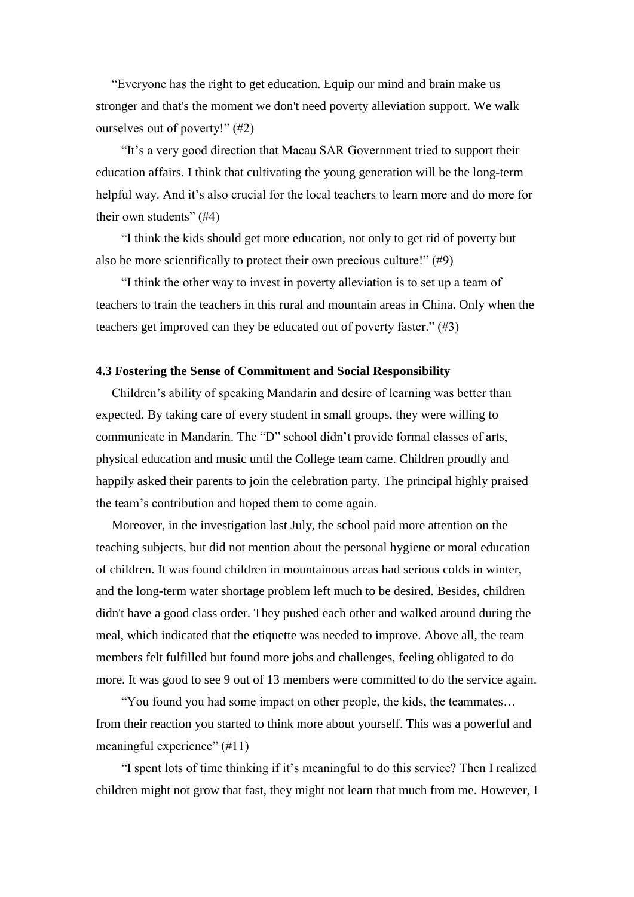"Everyone has the right to get education. Equip our mind and brain make us stronger and that's the moment we don't need poverty alleviation support. We walk ourselves out of poverty!" (#2)

"It's a very good direction that Macau SAR Government tried to support their education affairs. I think that cultivating the young generation will be the long-term helpful way. And it's also crucial for the local teachers to learn more and do more for their own students"  $(#4)$ 

"I think the kids should get more education, not only to get rid of poverty but also be more scientifically to protect their own precious culture!" (#9)

"I think the other way to invest in poverty alleviation is to set up a team of teachers to train the teachers in this rural and mountain areas in China. Only when the teachers get improved can they be educated out of poverty faster." (#3)

#### **4.3 Fostering the Sense of Commitment and Social Responsibility**

 Children's ability of speaking Mandarin and desire of learning was better than expected. By taking care of every student in small groups, they were willing to communicate in Mandarin. The "D" school didn't provide formal classes of arts, physical education and music until the College team came. Children proudly and happily asked their parents to join the celebration party. The principal highly praised the team's contribution and hoped them to come again.

 Moreover, in the investigation last July, the school paid more attention on the teaching subjects, but did not mention about the personal hygiene or moral education of children. It was found children in mountainous areas had serious colds in winter, and the long-term water shortage problem left much to be desired. Besides, children didn't have a good class order. They pushed each other and walked around during the meal, which indicated that the etiquette was needed to improve. Above all, the team members felt fulfilled but found more jobs and challenges, feeling obligated to do more. It was good to see 9 out of 13 members were committed to do the service again.

"You found you had some impact on other people, the kids, the teammates… from their reaction you started to think more about yourself. This was a powerful and meaningful experience" (#11)

"I spent lots of time thinking if it's meaningful to do this service? Then I realized children might not grow that fast, they might not learn that much from me. However, I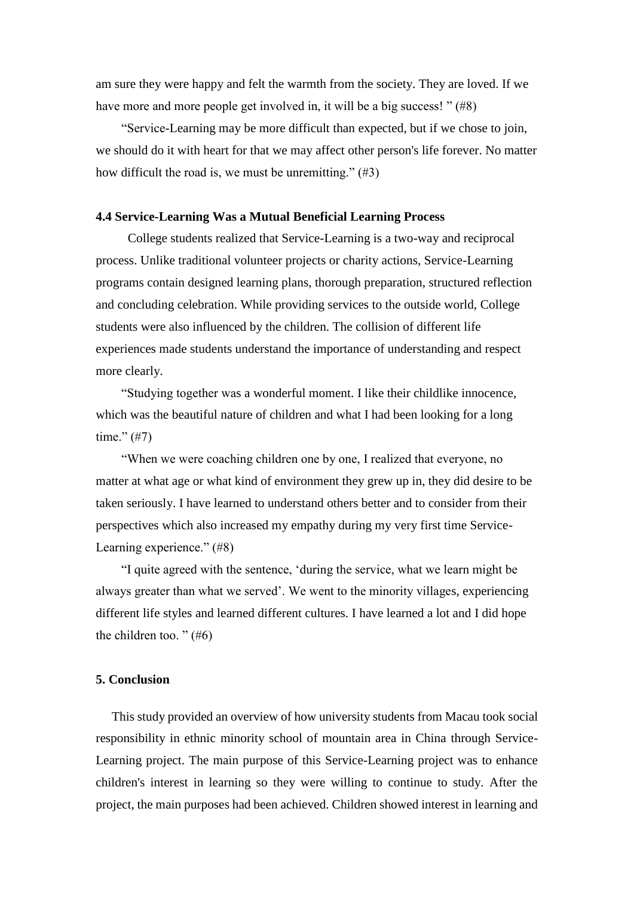am sure they were happy and felt the warmth from the society. They are loved. If we have more and more people get involved in, it will be a big success! " (#8)

"Service-Learning may be more difficult than expected, but if we chose to join, we should do it with heart for that we may affect other person's life forever. No matter how difficult the road is, we must be unremitting." (#3)

#### **4.4 Service-Learning Was a Mutual Beneficial Learning Process**

College students realized that Service-Learning is a two-way and reciprocal process. Unlike traditional volunteer projects or charity actions, Service-Learning programs contain designed learning plans, thorough preparation, structured reflection and concluding celebration. While providing services to the outside world, College students were also influenced by the children. The collision of different life experiences made students understand the importance of understanding and respect more clearly.

"Studying together was a wonderful moment. I like their childlike innocence, which was the beautiful nature of children and what I had been looking for a long time."  $(\#7)$ 

"When we were coaching children one by one, I realized that everyone, no matter at what age or what kind of environment they grew up in, they did desire to be taken seriously. I have learned to understand others better and to consider from their perspectives which also increased my empathy during my very first time Service-Learning experience." (#8)

"I quite agreed with the sentence, 'during the service, what we learn might be always greater than what we served'. We went to the minority villages, experiencing different life styles and learned different cultures. I have learned a lot and I did hope the children too. " $(\text{\#}6)$ 

## **5. Conclusion**

 This study provided an overview of how university students from Macau took social responsibility in ethnic minority school of mountain area in China through Service-Learning project. The main purpose of this Service-Learning project was to enhance children's interest in learning so they were willing to continue to study. After the project, the main purposes had been achieved. Children showed interest in learning and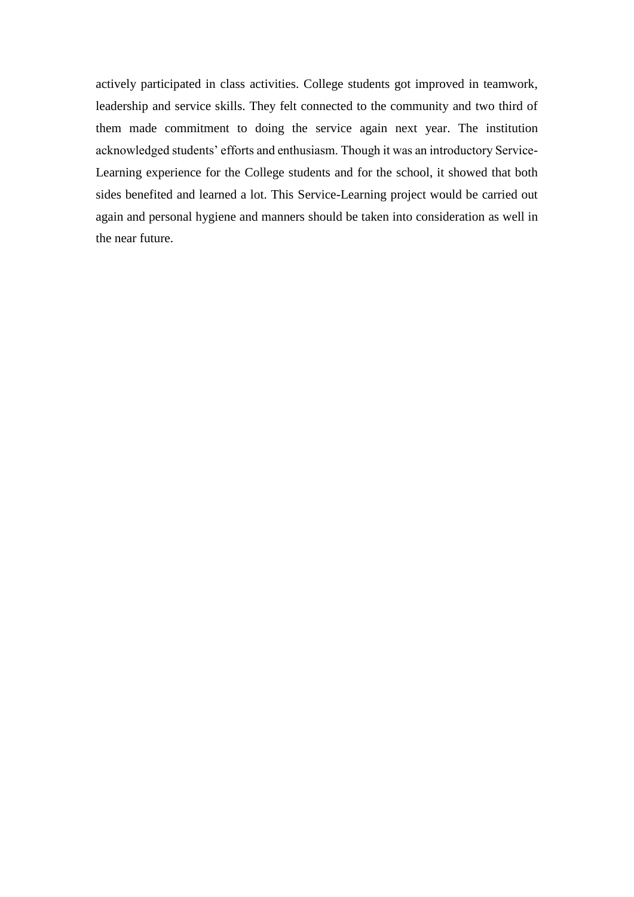actively participated in class activities. College students got improved in teamwork, leadership and service skills. They felt connected to the community and two third of them made commitment to doing the service again next year. The institution acknowledged students' efforts and enthusiasm. Though it was an introductory Service-Learning experience for the College students and for the school, it showed that both sides benefited and learned a lot. This Service-Learning project would be carried out again and personal hygiene and manners should be taken into consideration as well in the near future.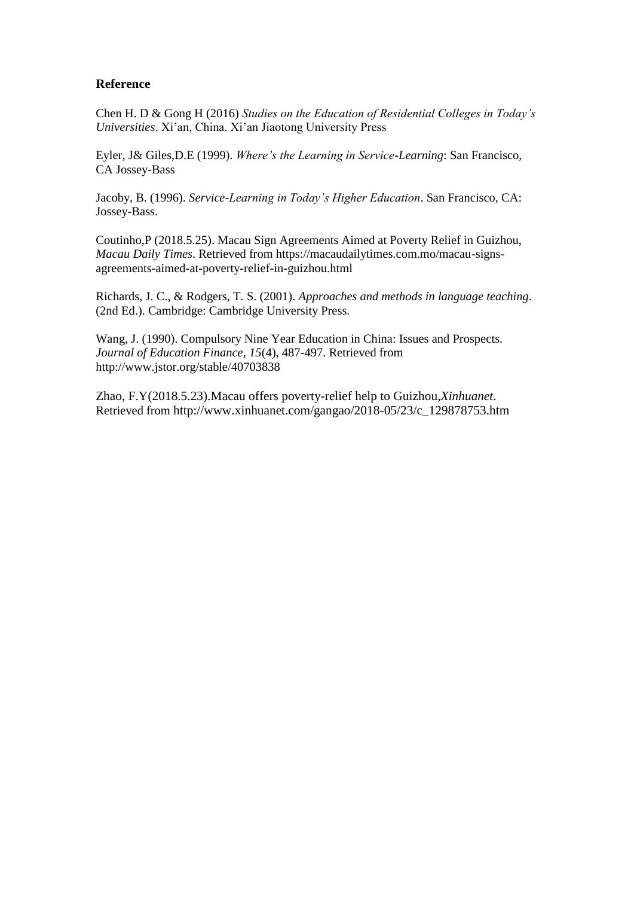## **Reference**

Chen H. D & Gong H (2016) *Studies on the Education of Residential Colleges in Today's Universities*. Xi'an, China. Xi'an Jiaotong University Press

Eyler, J& Giles,D.E (1999). *Where's the Learning in Service-Learning*: San Francisco, CA Jossey-Bass

Jacoby, B. (1996). *Service-Learning in Today's Higher Education*. San Francisco, CA: Jossey-Bass.

Coutinho,P (2018.5.25). Macau Sign Agreements Aimed at Poverty Relief in Guizhou, *Macau Daily Times*. Retrieved from https://macaudailytimes.com.mo/macau-signsagreements-aimed-at-poverty-relief-in-guizhou.html

Richards, J. C., & Rodgers, T. S. (2001). *Approaches and methods in language teaching*. (2nd Ed.). Cambridge: Cambridge University Press.

Wang, J. (1990). Compulsory Nine Year Education in China: Issues and Prospects. *Journal of Education Finance, 15*(4), 487-497. Retrieved from http://www.jstor.org/stable/40703838

Zhao, F.Y(2018.5.23).Macau offers poverty-relief help to Guizhou*,Xinhuanet*. Retrieved from http://www.xinhuanet.com/gangao/2018-05/23/c\_129878753.htm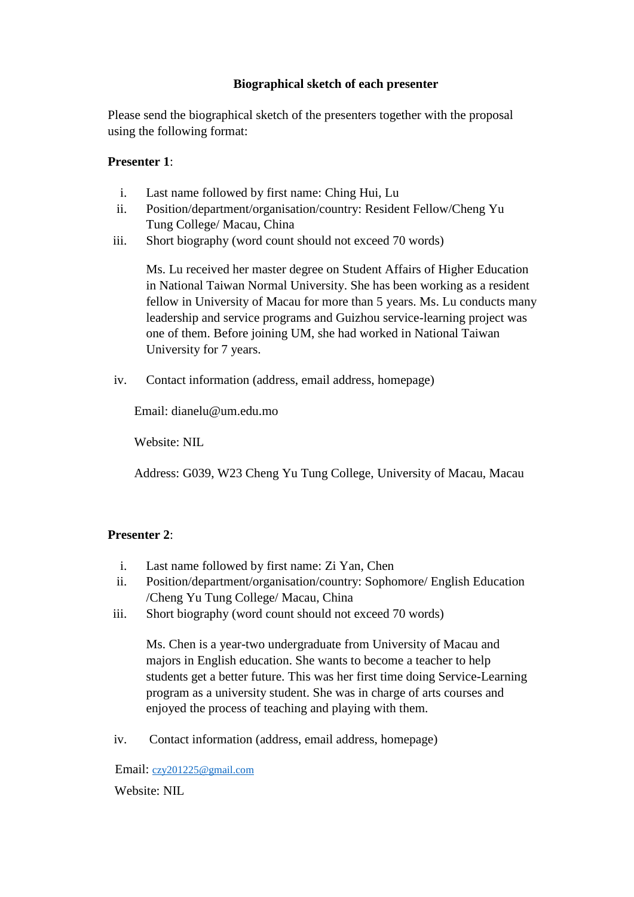# **Biographical sketch of each presenter**

Please send the biographical sketch of the presenters together with the proposal using the following format:

## **Presenter 1**:

- i. Last name followed by first name: Ching Hui, Lu
- ii. Position/department/organisation/country: Resident Fellow/Cheng Yu Tung College/ Macau, China
- iii. Short biography (word count should not exceed 70 words)

Ms. Lu received her master degree on Student Affairs of Higher Education in National Taiwan Normal University. She has been working as a resident fellow in University of Macau for more than 5 years. Ms. Lu conducts many leadership and service programs and Guizhou service-learning project was one of them. Before joining UM, she had worked in National Taiwan University for 7 years.

iv. Contact information (address, email address, homepage)

Email: dianelu@um.edu.mo

Website: NIL

Address: G039, W23 Cheng Yu Tung College, University of Macau, Macau

# **Presenter 2**:

- i. Last name followed by first name: Zi Yan, Chen
- ii. Position/department/organisation/country: Sophomore/ English Education /Cheng Yu Tung College/ Macau, China
- iii. Short biography (word count should not exceed 70 words)

Ms. Chen is a year-two undergraduate from University of Macau and majors in English education. She wants to become a teacher to help students get a better future. This was her first time doing Service-Learning program as a university student. She was in charge of arts courses and enjoyed the process of teaching and playing with them.

iv. Contact information (address, email address, homepage)

Email: [czy201225@gmail.com](mailto:czy201225@gmail.com)

Website: NIL